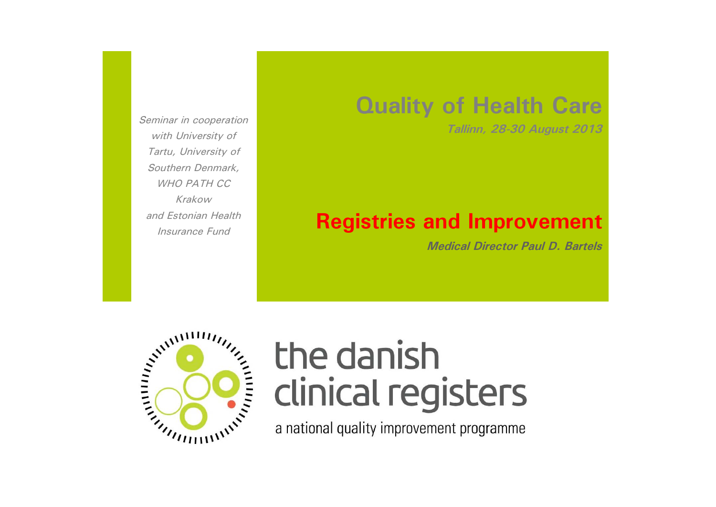*Seminar in cooperation with University of Tartu, University of Southern Denmark, WHO PATH CC Krakow and Estonian Health Insurance Fund*

### **Quality of Health Care**

*Tallinn, 28-30 August 2013*

### **Registries and Improvement**

*Medical Director Paul D. Bartels*



# the danish clinical registers

a national quality improvement programme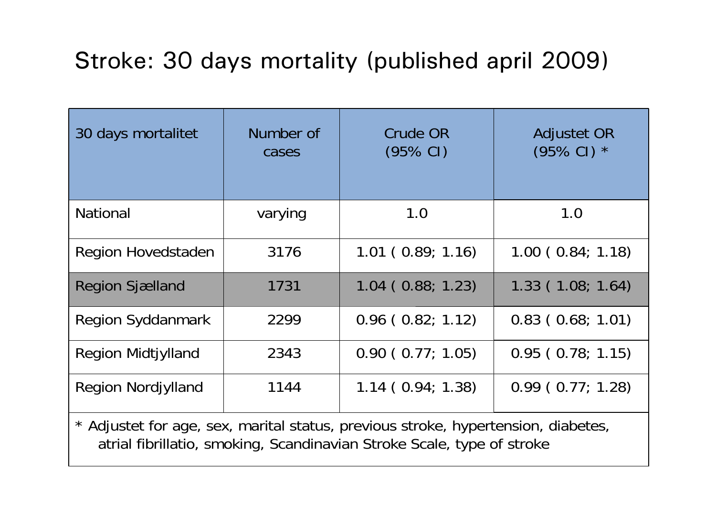## Stroke: 30 days mortality (published april 2009)

| 30 days mortalitet                                                                                                                                          | Number of<br>cases | Crude OR<br>$(95\% \text{ Cl})$ | <b>Adjustet OR</b><br>$(95\% \text{ Cl})$ * |  |  |  |  |
|-------------------------------------------------------------------------------------------------------------------------------------------------------------|--------------------|---------------------------------|---------------------------------------------|--|--|--|--|
| <b>National</b>                                                                                                                                             | varying            | 1.0                             | 1.0                                         |  |  |  |  |
| Region Hovedstaden                                                                                                                                          | 3176               | 1.01(0.89; 1.16)                | 1.00(0.84; 1.18)                            |  |  |  |  |
| <b>Region Sjælland</b>                                                                                                                                      | 1731               | $1.04$ ( $0.88$ ; 1.23)         | 1.33(1.08; 1.64)                            |  |  |  |  |
| <b>Region Syddanmark</b>                                                                                                                                    | 2299               | $0.96$ ( $0.82; 1.12$ )         | $0.83$ ( $0.68$ ; 1.01)                     |  |  |  |  |
| <b>Region Midtjylland</b>                                                                                                                                   | 2343               | 0.90(0.77; 1.05)                | $0.95$ ( $0.78$ ; 1.15)                     |  |  |  |  |
| Region Nordjylland                                                                                                                                          | 1144               | 1.14(0.94; 1.38)                | $0.99$ ( $0.77$ ; 1.28)                     |  |  |  |  |
| * Adjustet for age, sex, marital status, previous stroke, hypertension, diabetes,<br>atrial fibrillatio, smoking, Scandinavian Stroke Scale, type of stroke |                    |                                 |                                             |  |  |  |  |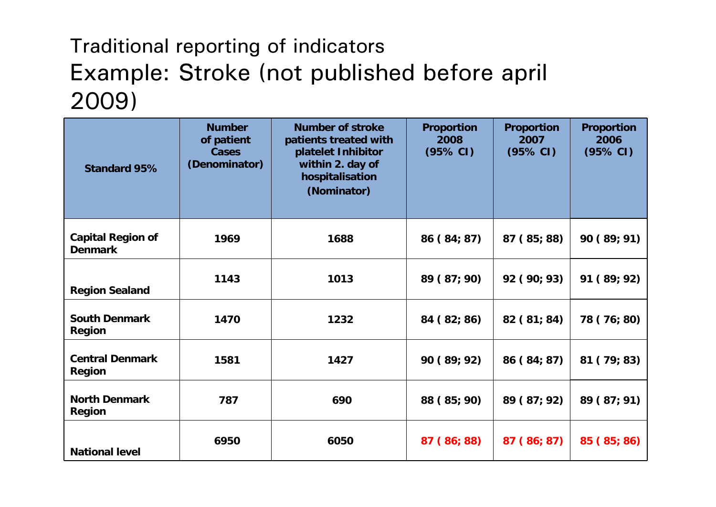## Traditional reporting of indicators Example: Stroke (not published before april 2009)

| <b>Standard 95%</b>                        | <b>Number</b><br>of patient<br><b>Cases</b><br>(Denominator) | <b>Number of stroke</b><br>patients treated with<br>platelet Inhibitor<br>within 2. day of<br>hospitalisation<br>(Nominator) | <b>Proportion</b><br>2008<br>(95% CI) | <b>Proportion</b><br>2007<br>(95% CI) | <b>Proportion</b><br>2006<br>(95% CI) |
|--------------------------------------------|--------------------------------------------------------------|------------------------------------------------------------------------------------------------------------------------------|---------------------------------------|---------------------------------------|---------------------------------------|
| <b>Capital Region of</b><br><b>Denmark</b> | 1969                                                         | 1688                                                                                                                         | 86(84;87)                             | 87(85;88)                             | 90(89; 91)                            |
| <b>Region Sealand</b>                      | 1143                                                         | 1013                                                                                                                         | 89(87;90)                             | 92(90; 93)                            | 91(89; 92)                            |
| <b>South Denmark</b><br><b>Region</b>      | 1470                                                         | 1232                                                                                                                         | 84 (82; 86)                           | 82(81; 84)                            | 78 (76; 80)                           |
| <b>Central Denmark</b><br><b>Region</b>    | 1581                                                         | 1427                                                                                                                         | 90 (89; 92)<br>86(84;87)              |                                       | 81(79; 83)                            |
| <b>North Denmark</b><br><b>Region</b>      | 787                                                          | 690                                                                                                                          | 88 (85; 90)                           | 89 (87; 92)                           | 89(87; 91)                            |
| <b>National level</b>                      | 6950                                                         | 6050                                                                                                                         | 87 (86; 88)                           | 87 (86; 87)                           | 85 (85; 86)                           |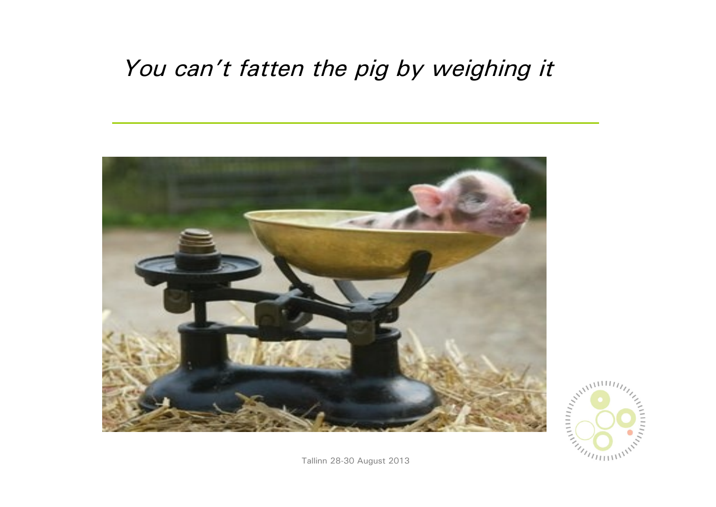### *You can't fatten the pig by weighing it*



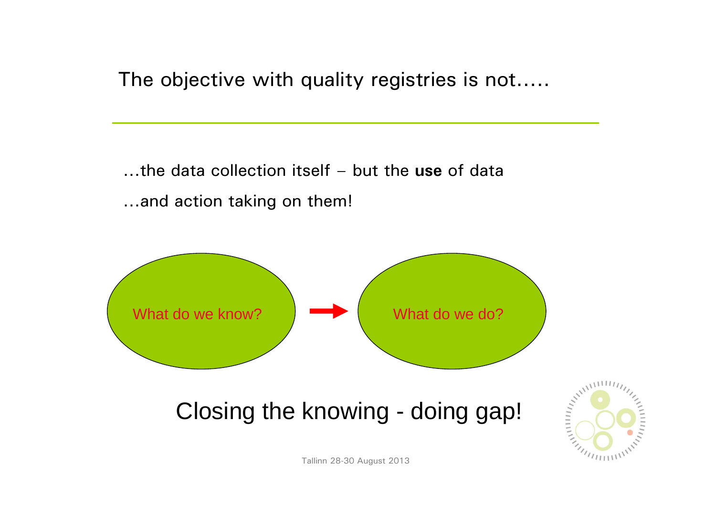The objective with quality registries is not.....

…the data collection itself – but the **use** of data …and action taking on them!

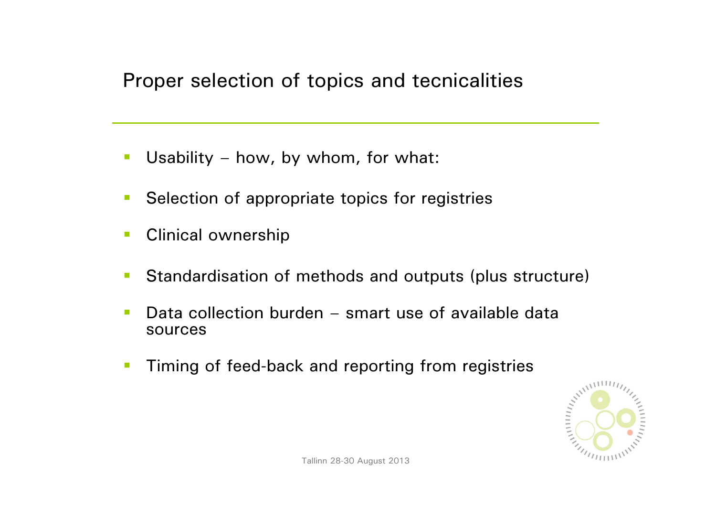#### Proper selection of topics and tecnicalities

- $\Box$ Usability – how, by whom, for what:
- П Selection of appropriate topics for registries
- $\blacksquare$ Clinical ownership
- $\mathcal{L}_{\mathcal{A}}$ Standardisation of methods and outputs (plus structure)
- $\left\vert \cdot \right\rangle$ **Data collection burden – smart use of available data** sources
- $\mathcal{L}_{\mathcal{A}}$ Timing of feed-back and reporting from registries

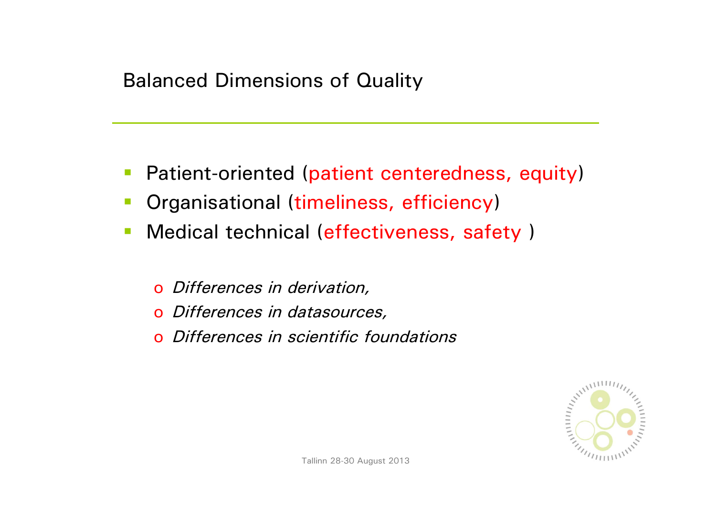### Balanced Dimensions of Quality

- $\mathbb{R}^n$ Patient-oriented (patient centeredness, equity)
- $\sim$ Organisational (timeliness, efficiency)
- $\mathcal{L}_{\mathcal{A}}$  Medical technical (effectiveness, safety )
	- o *Differences in derivation,*
	- o *Differences in datasources,*
	- o *Differences in scientific foundations*

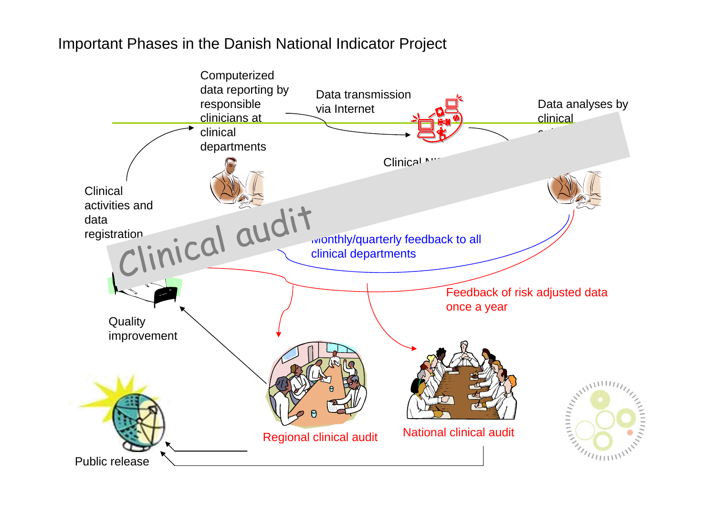#### Important Phases in the Danish National Indicator Project

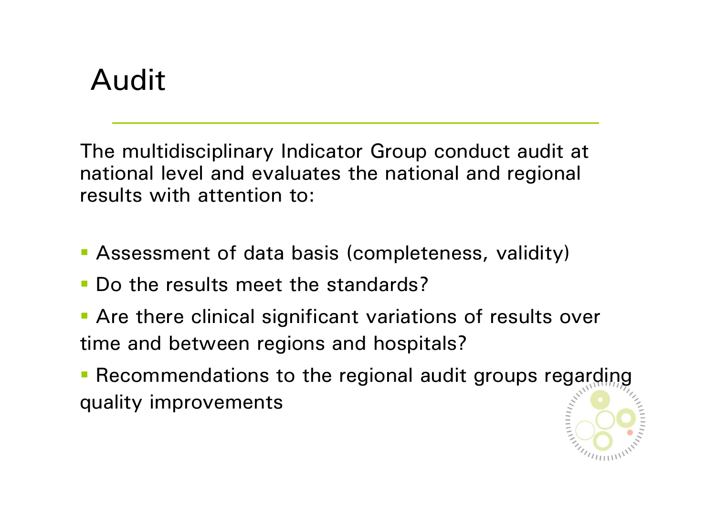## Audit

The multidisciplinary Indicator Group conduct audit at national level and evaluates the national and regional results with attention to:

- **Assessment of data basis (completeness, validity)**
- $\mathbb{R}^n$ Do the results meet the standards?
- **Are there clinical significant variations of results over** time and between regions and hospitals?
- $\mathbb{R}^n$  Recommendations to the regional audit groups regarding quality improvements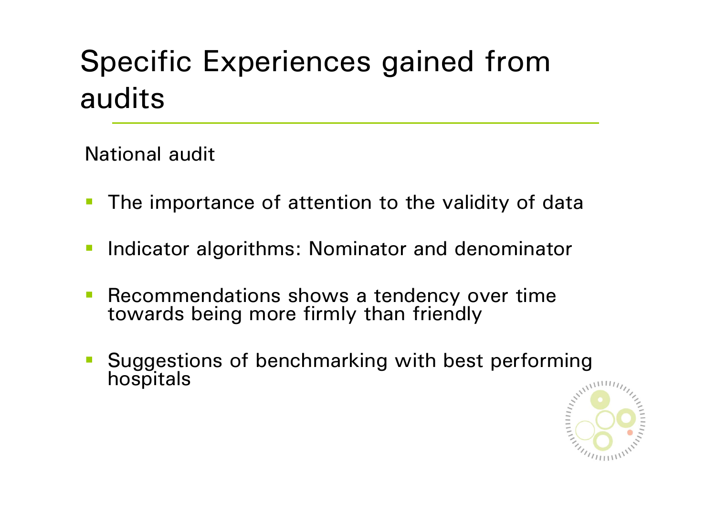# Specific Experiences gained from audits

National audit

- $\mathbb{R}^n$ The importance of attention to the validity of data
- $\mathbb{R}^3$ Indicator algorithms: Nominator and denominator
- $\Box$  Recommendations shows a tendency over time towards being more firmly than friendly
- $\mathbb{R}^3$  Suggestions of benchmarking with best performing hospitals

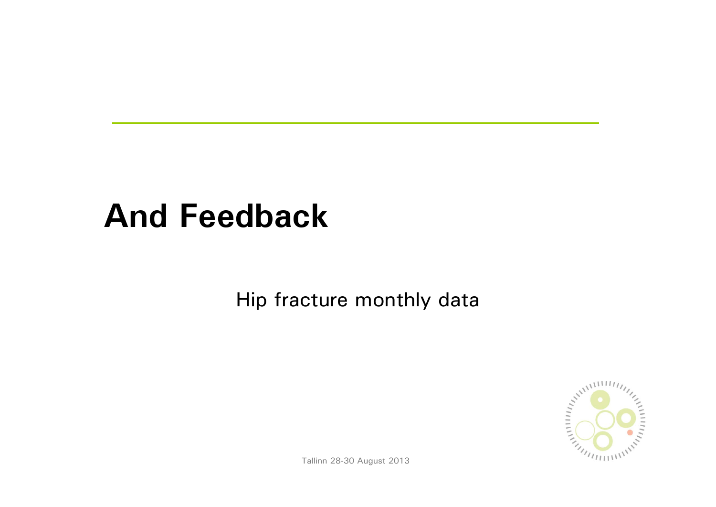# **And Feedback**

#### Hip fracture monthly data

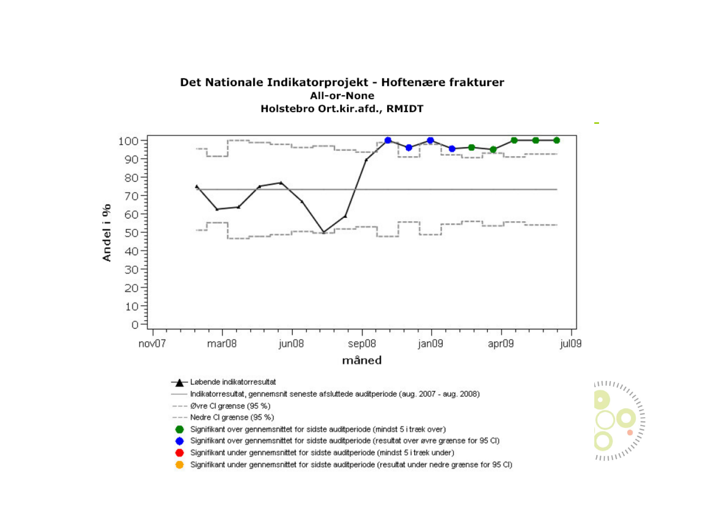

Det Nationale Indikatorprojekt - Hoftenære frakturer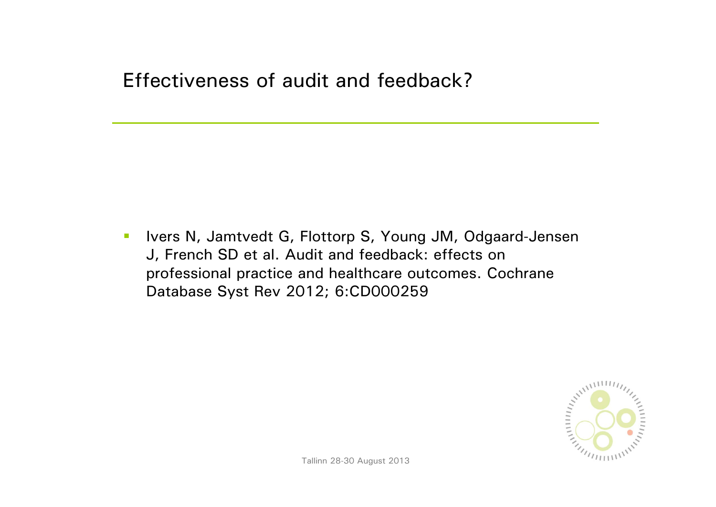#### Effectiveness of audit and feedback?

 $\mathcal{L}_{\rm{eff}}$  Ivers N, Jamtvedt G, Flottorp S, Young JM, Odgaard-Jensen J, French SD et al. Audit and feedback: effects on professional practice and healthcare outcomes. Cochrane Database Syst Rev 2012; 6:CD000259

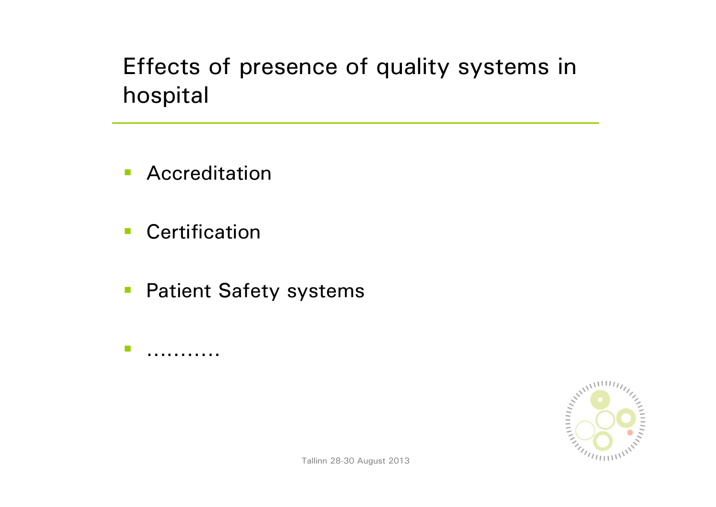## Effects of presence of quality systems in hospital

- **Accreditation**
- **Certification**

. . . . . . . . . .

 $\mathcal{L}^{\mathcal{L}}$ 

**Patient Safety systems** 

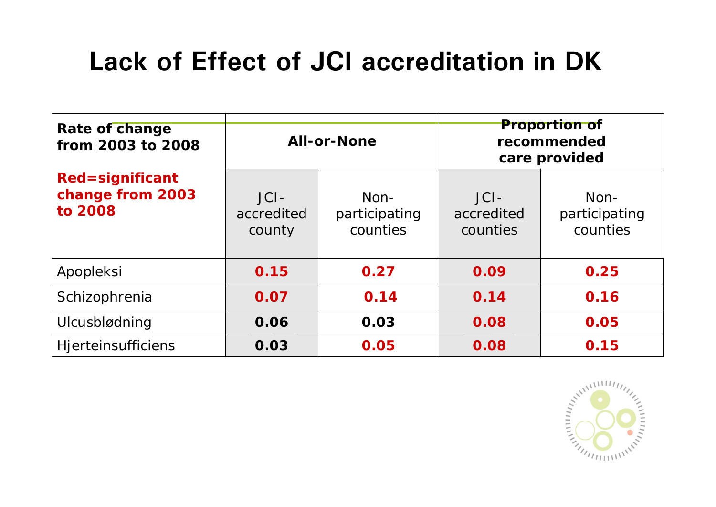## **Lack of Effect of JCI accreditation in DK**

| <b>Rate of change</b><br>from 2003 to 2008            | <b>All-or-None</b>              |                                     | <b>Proportion of</b><br>recommended<br>care provided |                                     |  |
|-------------------------------------------------------|---------------------------------|-------------------------------------|------------------------------------------------------|-------------------------------------|--|
| <b>Red=significant</b><br>change from 2003<br>to 2008 | $JCI -$<br>accredited<br>county | $Non-$<br>participating<br>counties | $JCI -$<br>accredited<br>counties                    | $Non-$<br>participating<br>counties |  |
| Apopleksi                                             | 0.15                            | 0.27                                | 0.09                                                 | 0.25                                |  |
| Schizophrenia                                         | 0.07                            | 0.14                                | 0.14                                                 | 0.16                                |  |
| Ulcusblødning                                         | 0.06                            | 0.03                                | 0.08                                                 | 0.05                                |  |
| <b>Hjerteinsufficiens</b>                             | 0.03                            | 0.05                                | 0.08                                                 | 0.15                                |  |

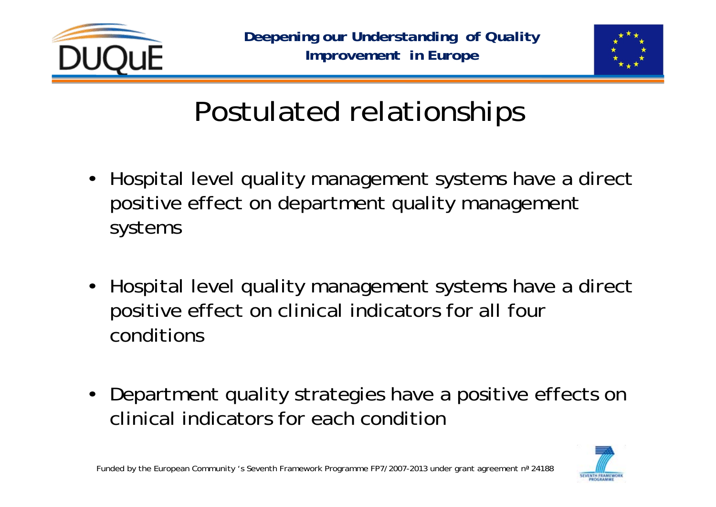

*Deepening our Understanding of Quality Improvement in Europe*



# Postulated relationships

- Hospital level quality management systems have a direct positive effect on department quality management systems
- Hospital level quality management systems have a direct positive effect on clinical indicators for all four conditions
- Department quality strategies have a positive effects on clinical indicators for each condition

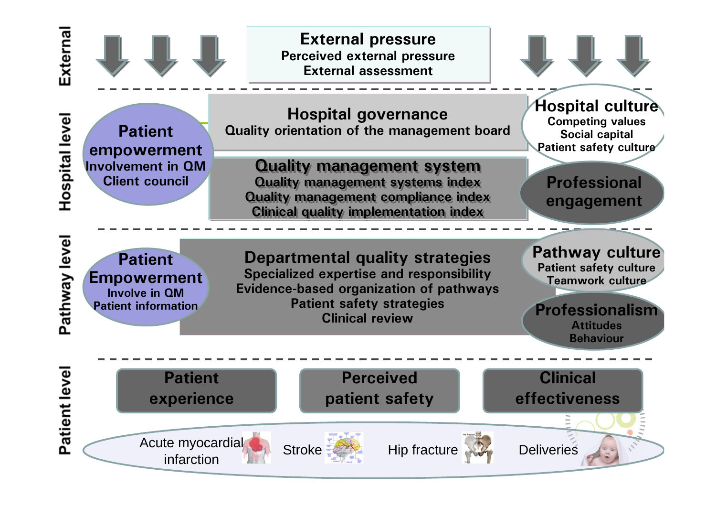

**External pressure External pressure Perceived external pressure Perceived external pressure External assessmentExternal assessment**



Hospital level



**Hospital governance Hospital governance Quality orientation of the management board Quality orientation of the management board**

**Quality management system Quality management system Quality management systems index Quality management systems index Quality management compliance index Quality management compliance index Clinical quality implementation index Clinical quality implementation index**

**Professional engagement**

**Hospital culture Competing values Social capital Patient safety culture**

Pathway level

#### **Patient Empowerment Involve in QMPatient information**

**Departmental quality strategies Specialized expertise and responsibility Evidence-based organization of pathways Patient safety strategies Clinical review**

**Pathway culture Patient safety culture Teamwork culture**

**ProfessionalismAttitudes Behaviour**

**Patient experience Perceived patient safety**

Acute myocardial infarction



**Clinical effectiveness**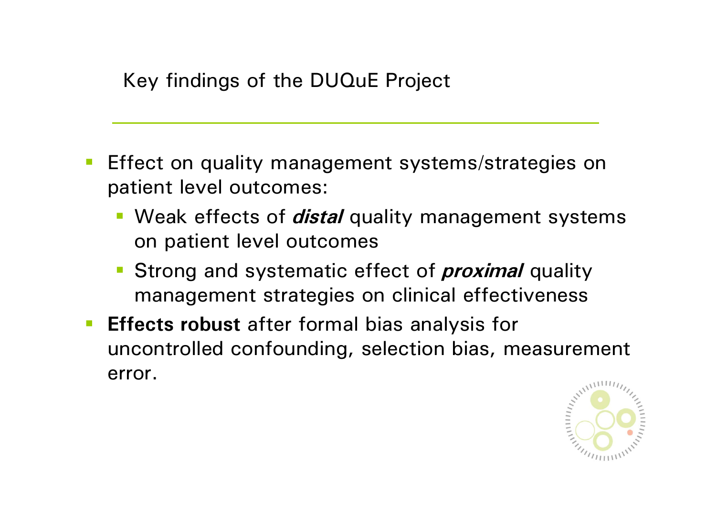### Key findings of the DUQuE Project

- Effect on quality management systems/strategies on patient level outcomes:
	- Weak effects of *distal* quality management systems on patient level outcomes
	- **Strong and systematic effect of** *proximal* **quality** management strategies on clinical effectiveness
- $\mathbb{R}^3$  **Effects robust** after formal bias analysis for uncontrolled confounding, selection bias, measurement error.

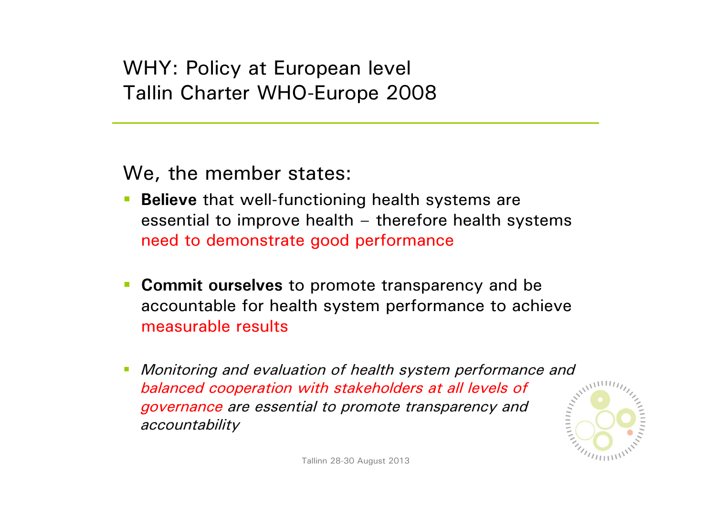#### WHY: Policy at European level Tallin Charter WHO-Europe 2008

We, the member states:

- **Believe** that well-functioning health systems are essential to improve health – therefore health systems need to demonstrate good performance
- $\mathbb{Z}^n$  **Commit ourselves** to promote transparency and be accountable for health system performance to achieve measurable results
- *Monitoring and evaluation of health system performance and balanced cooperation with stakeholders at all levels of governance are essential to promote transparency and accountability*

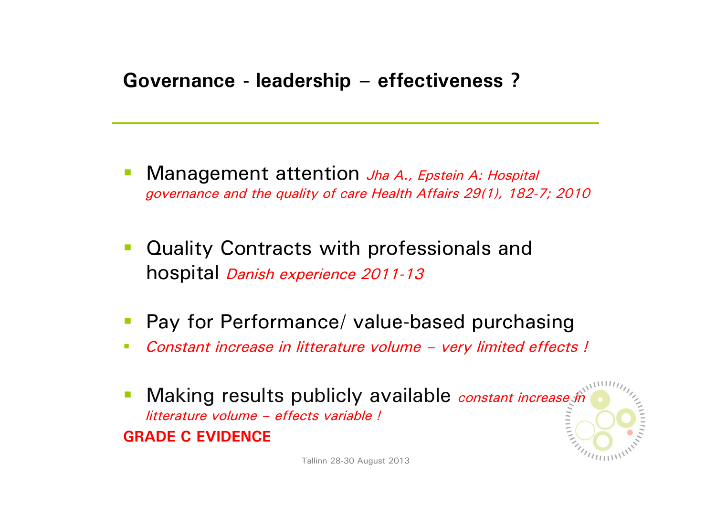#### **Governance - leadership – effectiveness ?**

- $\mathbb{R}^n$  Management attention *Jha A., Epstein A: Hospital governance and the quality of care Health Affairs 29(1), 182-7; 2010*
- $\mathbb{R}^n$  Quality Contracts with professionals and hospital *Danish experience 2011-13*
- $\mathbb{R}^n$ Pay for Performance/ value-based purchasing
- $\mathcal{L}_{\mathcal{A}}$ *Constant increase in litterature volume – very limited effects !*
- Making results publicly available *constant increase in litterature volume – effects variable !*

#### **GRADE C EVIDENCE**